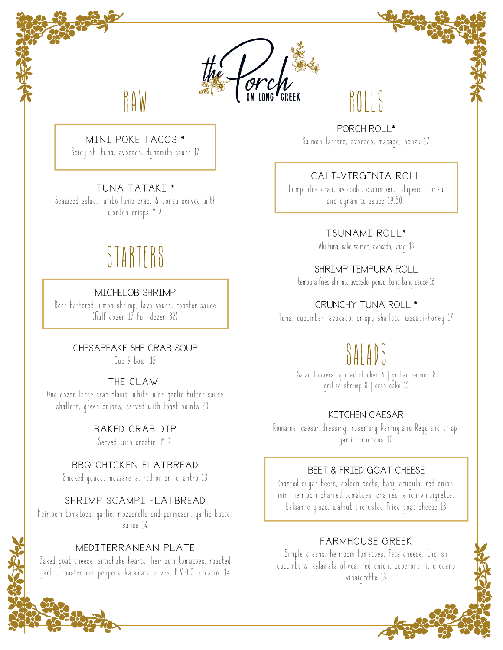

#### MINI POKE TACOS \*

Spicy ahi tuna, avocado, dynamite sauce 17

#### TUNA TATAKI \*

Seaweed salad, jumbo lump crab, & ponzu served with wonton crisps M.P.

## **STARTERS**

#### MICHELOB SHRIMP

Beer battered jumbo shrimp, lava sauce, rooster sauce (half dozen 17 full dozen 32)

> CHESAPEAKE SHE CRAB SOUP Cup 9 bowl 12

#### THE CLAW

One dozen large crab claws, white wine garlic butter sauce shallots, green onions, served with toast points 20

> BAKED CRAB DIP Served with crostini M.P.

BBQ CHICKEN FLATBREAD Smoked qouda, mozzarella, red onion, cilantro 13

#### SHRIMP SCAMPI FLATBREAD

Heirloom tomatoes, qarlic, mozzarella and parmesan, qarlic butter sauce 14

#### MEDITERRANEAN PLATE

Baked goat cheese, artichoke hearts, heirloom tomatoes, roasted garlic, roasted red peppers, kalamata olives, E.V.O.O. crostini 14

PORCH ROLL\* Salmon tartare, avocado, masago, ponzu 17

ROLLS

#### CALI-VIRGINIA ROLL

Lump blue crab, avocado, cucumber, jalapeño, ponzu and dynamite sauce 19.50

#### TSUNAMI ROLL\*

Ahi tuna, sake salmon, avocado, unagi 18

#### SHRIMP TEMPURA ROLL

tempura fried shrimp, avocado, ponzu, bang bang sauce 16

#### CRUNCHY TUNA ROLL \*

Tuna, cucumber, avocado, crispy shallots, wasabi-honey 17

## SALADS

Salad toppers: grilled chicken 6 | grilled salmon 8 qrilled shrimp 8 | crab cake 15

#### KITCHEN CAESAR

Romaine, caesar dressing, rosemary Parmigiano Reggiano crisp, garlic croutons 10

#### BEET & FRIED GOAT CHEESE

Roasted sugar beets, golden beets, baby arugula, red onion, mini heirloom charred tomatoes, charred lemon vinaigrette, balsamic glaze, walnut encrusted fried goat cheese 13

#### FARMHOUSE GREEK

Simple greens, heirloom tomatoes, feta cheese, English cucumbers, kalamata olives, red onion, peperoncini, oregano vinaigrette 13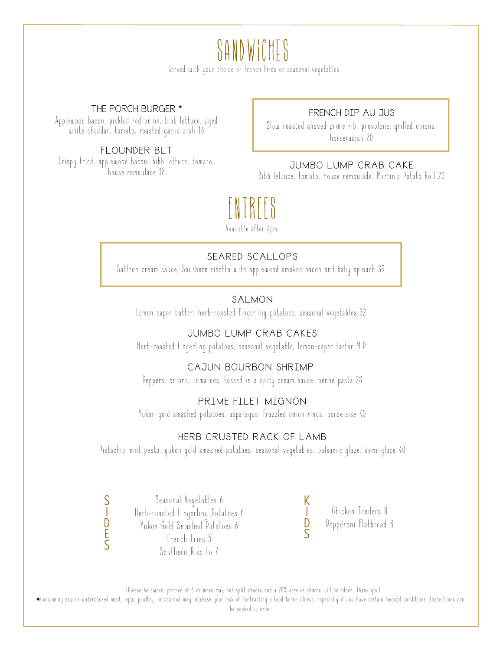## sandwiches

Served with your choice of french fries or seasonal vegetables

#### THE PORCH BURGER \*

Applewood bacon, pickled red onion, bibb lettuce, aged white cheddar, tomato, roasted garlic aioli 16

FLOUNDER BLT Crispy fried, applewood bacon, bibb lettuce, tomato, house remoulade 18

#### FRENCH DIP AU JUS

Slow roasted shaved prime rib, provolone, qrilled onions, horseradish 20

#### JUMBO LUMP CRAB CAKE

Bibb lettuce, tomato, house remoulade, Martin's Potato Roll 20

## ENTREES

Available after 4pm

#### SEARED SCALLOPS

Saffron cream sauce, Southern risotto with applewood smoked bacon and baby spinach 39

#### SALMON

Lemon caper butter, herb-roasted fingerling potatoes, seasonal vegetables 32

#### JUMBO LUMP CRAB CAKES

Herb-roasted fingerling potatoes, seasonal vegetable, lemon-caper tartar M.P.

#### CAJUN BOURBON SHRIMP

Peppers, onions, tomatoes, tossed in a spicy cream sauce, penne pasta 28

#### PRIME FILET MIGNON

Yukon gold smashed potatoes, asparagus, frazzled onion rings, bordelaise 40

#### HERB CRUSTED RACK OF LAMB

Pistachio mint pesto, yukon gold smashed potatoes, seasonal vegetables, balsamic glaze, demi-glace 40

Seasonal Vegetables 6 Herb-roasted Fingerling Potatoes 6 Yukon Gold Smashed Potatoes 6 French Fries 5 Southern Risotto 7

S I D E S

Chicken Tenders 8 Pepperoni Flatbread 8

K I  $\overline{D}$ S

(Please be aware, parties of 6 or more may not split checks and a 20% service charge will be added. Thank you) Consuming raw or undercooked meat, eggs, poultry, or seafood may increase your risk of contracting a food borne illness, especially if you have certain medical conditions. These foods can be contracted to order be cooked to order.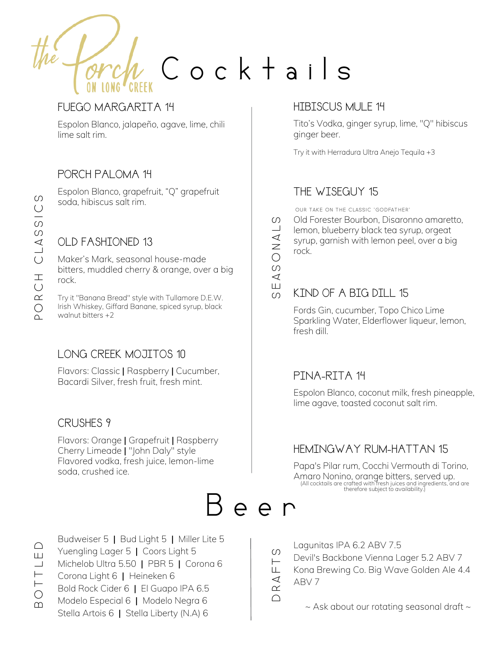Cocktails

#### FUEGO MARGARITA 14

Espolon Blanco, jalapeño, agave, lime, chili lime salt rim.

#### PORCH PALOMA 14

Espolon Blanco, grapefruit, "Q" grapefruit soda, hibiscus salt rim.

### OLD FASHIONED 13

Maker's Mark, seasonal house-made bitters, muddled cherry & orange, over a big rock.

Try it "Banana Bread" style with Tullamore D.E.W. Irish Whiskey, Giffard Banane, spiced syrup, black walnut bitters +2

#### LONG CREEK MOJITOS 10

Flavors: Classic | Raspberry | Cucumber, Bacardi Silver, fresh fruit, fresh mint.

#### CRUSHES 9

Flavors: Orange | Grapefruit | Raspberry Cherry Limeade | "John Daly" style Flavored vodka, fresh juice, lemon-lime soda, crushed ice.

Budweiser 5 | Bud Light 5 | Miller Lite 5 Yuengling Lager 5 | Coors Light 5 Michelob Ultra 5.50 | PBR 5 | Corona 6 Corona Light 6 | Heineken 6 Bold Rock Cider 6 | El Guapo IPA 6.5 Modelo Especial 6 | Modelo Negra 6 Stella Artois 6 | Stella Liberty (N.A) 6

#### HIBISCUS MULE 14

Tito's Vodka, ginger syrup, lime, "Q" hibiscus ginger beer.

Try it with Herradura Ultra Anejo Tequila +3

#### THE WISEGUY 15

Our take on the classic "Godfather"

Old Forester Bourbon, Disaronno amaretto, lemon, blueberry black tea syrup, orgeat syrup, garnish with lemon peel, over a big rock.  $\Box$ 

 $\overline{111}$  $\triangleleft$  $\circ$ 

ONA

 $\omega$ 

 $\Omega$ 

#### KIND OF A BIG DILL 15

Fords Gin, cucumber, Topo Chico Lime Sparkling Water, Elderflower liqueur, lemon, fresh dill.

#### PINA-RITA 14

Espolon Blanco, coconut milk, fresh pineapple, lime agave, toasted coconut salt rim.

#### HEMINGWAY RUM-HATTAN 15

Papa's Pilar rum, Cocchi Vermouth di Torino, Amaro Nonino, orange bitters, served up. (All cocktails are crafted with fresh juices and ingredients, and are therefore subject to availability.)



Lagunitas IPA 6.2 ABV 7.5

Devil's Backbone Vienna Lager 5.2 ABV 7

Kona Brewing Co. Big Wave Golden Ale 4.4 ABV 7

 $\cap$  $\alpha$  $\prec$ 

ĹЦ.  $\vdash$  $\Omega$ 

 $\sim$  Ask about our rotating seasonal draft  $\sim$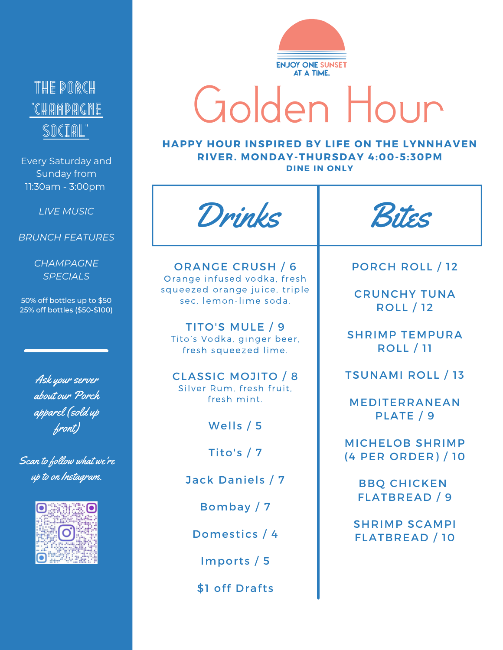## THE PORCH 'Champagne SOCIAL

Every Saturday and Sunday from 11:30am - 3:00pm

*LIVE MUSIC*

#### *BRUNCH FEATURES*

*CHAMPAGNE SPECIALS*

50% off bottles up to \$50 25% off bottles (\$50-\$100)

> Ask your server about our Porch apparel (sold up front)

Scan to follow what we're up to on Instagram.





# Golden Hour

#### **HAPPY HOUR INSPIRED BY LIFE ON THE LYNNHAVEN RIVER. MONDAY-THURSDAY 4:00-5:30PM DINE IN ONLY**

Drinks ORANGE CRUSH / 6 Orange infused vodka, fresh squeezed orange juice, triple sec, lemon-lime soda. TITO'S MULE / 9 Tito's Vodka, ginger beer, fresh squeezed lime. CLASSIC MOJITO / 8 Silver Rum, fresh fruit, fresh mint. Wells / 5 Tito's  $/7$ Jack Daniels / 7 Bombay / 7 Domestics / 4 Imports / 5 \$1 off Drafts Bites PORCH ROLL / 12 CRUNCHY TUNA ROLL / 12 SHRIMP TEMPURA ROLL / 11 TSUNAMI ROLL / 13 MEDITERRANEAN PLATE / 9 MICHELOB SHRIMP (4 PER ORDER) / 10 BBQ CHICKEN FLATBREAD / 9 SHRIMP SCAMPI FLATBREAD / 10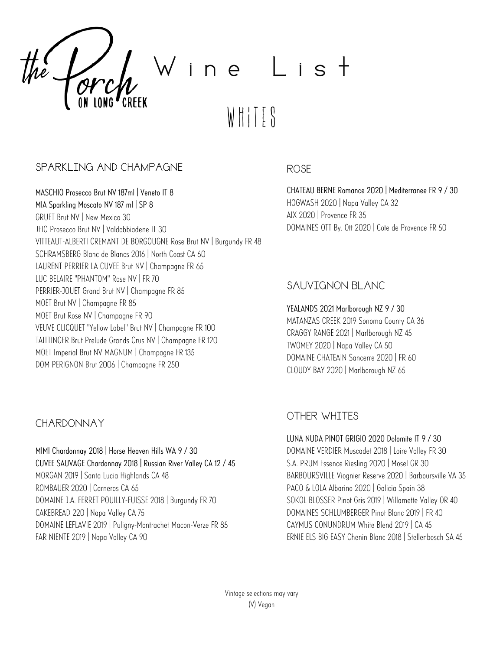

#### SPARKLING AND CHAMPAGNE

MASCHIO Prosecco Brut NV 187ml | Veneto IT 8 MIA Sparkling Moscato NV 187 ml | SP 8 GRUET Brut NV | New Mexico 30 JEIO Prosecco Brut NV | Valdobbiadene IT 30 VITTEAUT-ALBERTI CREMANT DE BORGOUGNE Rose Brut NV | Burgundy FR 48 SCHRAMSBERG Blanc de Blancs 2016 | North Coast CA 60 LAURENT PERRIER LA CUVEE Brut NV | Champagne FR 65 LUC BELAIRE "PHANTOM" Rose NV | FR 70 PERRIER-JOUET Grand Brut NV | Champagne FR 85 MOET Brut NV | Champagne FR 85 MOET Brut Rose NV | Champagne FR 90 VEUVE CLICQUET "Yellow Label" Brut NV | Champagne FR 100 TAITTINGER Brut Prelude Grands Crus NV | Champagne FR 120 MOET Imperial Brut NV MAGNUM | Champagne FR 135 DOM PERIGNON Brut 2006 | Champagne FR 250

#### CHARDONNAY

MIMI Chardonnay 2018 | Horse Heaven Hills WA 9 / 30 CUVEE SAUVAGE Chardonnay 2018 | Russian River Valley CA 12 / 45 MORGAN 2019 | Santa Lucia Highlands CA 48 ROMBAUER 2020 | Carneros CA 65 DOMAINE J.A. FERRET POUILLY-FUISSE 2018 | Burgundy FR 70 CAKEBREAD 220 | Napa Valley CA 75 DOMAINE LEFLAVIE 2019 | Puligny-Montrachet Macon-Verze FR 85 FAR NIENTE 2019 | Napa Valley CA 90

#### ROSE

CHATEAU BERNE Romance 2020 | Mediterranee FR 9 / 30 HOGWASH 2020 | Napa Valley CA 32 AIX 2020 | Provence FR 35 DOMAINES OTT By. Ott 2020 | Cote de Provence FR 50

#### SAUVIGNON BLANC

YEALANDS 2021 Marlborough NZ 9 / 30 MATANZAS CREEK 2019 Sonoma County CA 36 CRAGGY RANGE 2021 | Marlborough NZ 45 TWOMEY 2020 | Napa Valley CA 50 DOMAINE CHATEAIN Sancerre 2020 | FR 60 CLOUDY BAY 2020 | Marlborough NZ 65

#### OTHER WHITES

LUNA NUDA PINOT GRIGIO 2020 Dolomite IT 9 / 30 DOMAINE VERDIER Muscadet 2018 | Loire Valley FR 30 S.A. PRUM Essence Riesling 2020 | Mosel GR 30 BARBOURSVILLE Viognier Reserve 2020 | Barboursville VA 35 PACO & LOLA Albarino 2020 | Galicia Spain 38 SOKOL BLOSSER Pinot Gris 2019 | Willamette Valley OR 40 DOMAINES SCHLUMBERGER Pinot Blanc 2019 | FR 40 CAYMUS CONUNDRUM White Blend 2019 | CA 45 ERNIE ELS BIG EASY Chenin Blanc 2018 | Stellenbosch SA 45